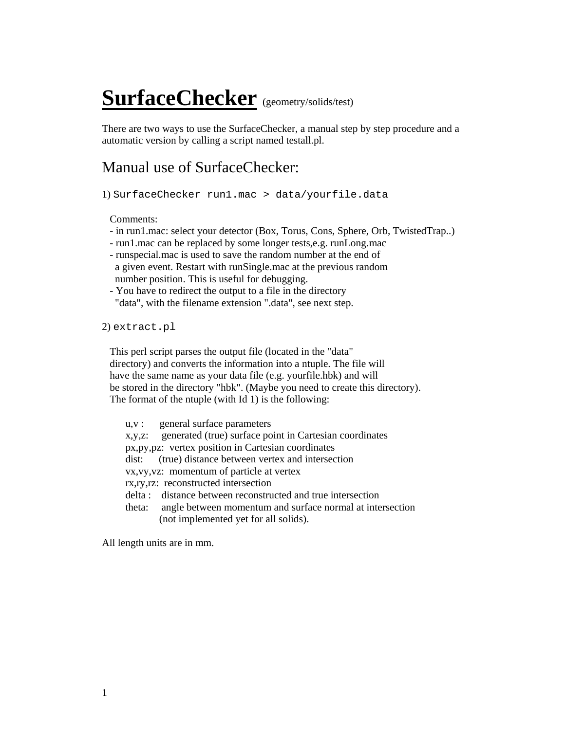## **SurfaceChecker** (geometry/solids/test)

There are two ways to use the SurfaceChecker, a manual step by step procedure and a automatic version by calling a script named testall.pl.

## Manual use of SurfaceChecker:

1) SurfaceChecker run1.mac > data/yourfile.data

Comments:

- in run1.mac: select your detector (Box, Torus, Cons, Sphere, Orb, TwistedTrap..)
- run1.mac can be replaced by some longer tests,e.g. runLong.mac
- runspecial.mac is used to save the random number at the end of a given event. Restart with runSingle.mac at the previous random number position. This is useful for debugging.
- You have to redirect the output to a file in the directory "data", with the filename extension ".data", see next step.

2) extract.pl

 This perl script parses the output file (located in the "data" directory) and converts the information into a ntuple. The file will have the same name as your data file (e.g. yourfile.hbk) and will be stored in the directory "hbk". (Maybe you need to create this directory). The format of the ntuple (with Id 1) is the following:

 u,v : general surface parameters x,y,z: generated (true) surface point in Cartesian coordinates px,py,pz: vertex position in Cartesian coordinates dist: (true) distance between vertex and intersection vx,vy,vz: momentum of particle at vertex rx,ry,rz: reconstructed intersection delta : distance between reconstructed and true intersection theta: angle between momentum and surface normal at intersection (not implemented yet for all solids).

All length units are in mm.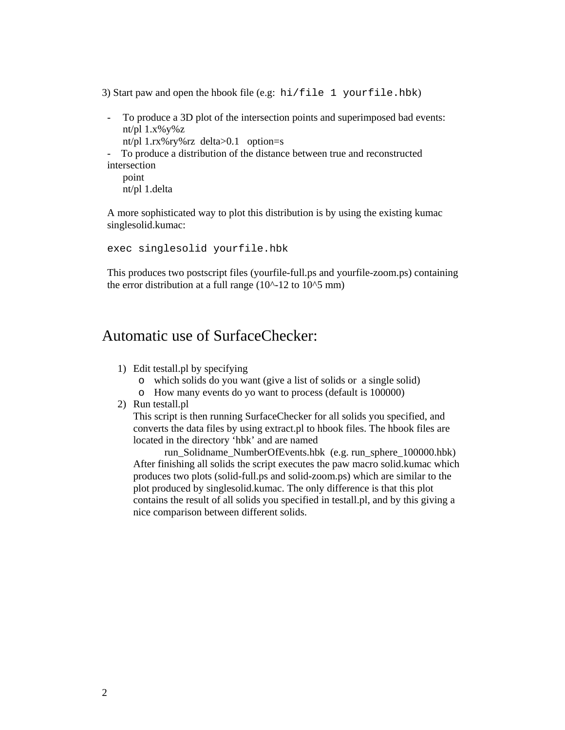3) Start paw and open the hbook file (e.g: hi/file 1 yourfile.hbk)

- To produce a 3D plot of the intersection points and superimposed bad events: nt/pl  $1.x\%y\%z$  nt/pl 1.rx%ry%rz delta>0.1 option=s
	-
- To produce a distribution of the distance between true and reconstructed intersection

 point nt/pl 1.delta

A more sophisticated way to plot this distribution is by using the existing kumac singlesolid.kumac:

exec singlesolid yourfile.hbk

This produces two postscript files (yourfile-full.ps and yourfile-zoom.ps) containing the error distribution at a full range  $(10^{\text{A}}-12 \text{ to } 10^{\text{A}}\overline{5} \text{ mm})$ 

## Automatic use of SurfaceChecker:

- 1) Edit testall.pl by specifying
	- o which solids do you want (give a list of solids or a single solid)
	- o How many events do yo want to process (default is 100000)
- 2) Run testall.pl

This script is then running SurfaceChecker for all solids you specified, and converts the data files by using extract.pl to hbook files. The hbook files are located in the directory 'hbk' and are named

run\_Solidname\_NumberOfEvents.hbk (e.g. run\_sphere\_100000.hbk) After finishing all solids the script executes the paw macro solid.kumac which produces two plots (solid-full.ps and solid-zoom.ps) which are similar to the plot produced by singlesolid.kumac. The only difference is that this plot contains the result of all solids you specified in testall.pl, and by this giving a nice comparison between different solids.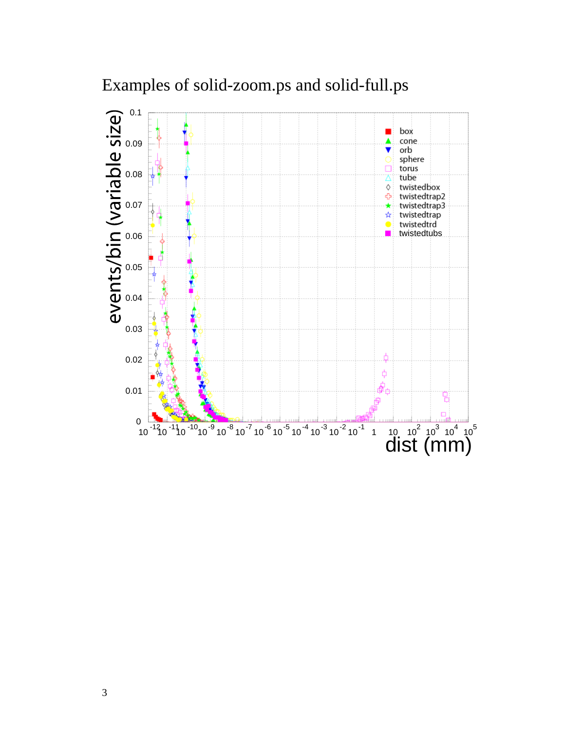

Examples of solid-zoom.ps and solid-full.ps